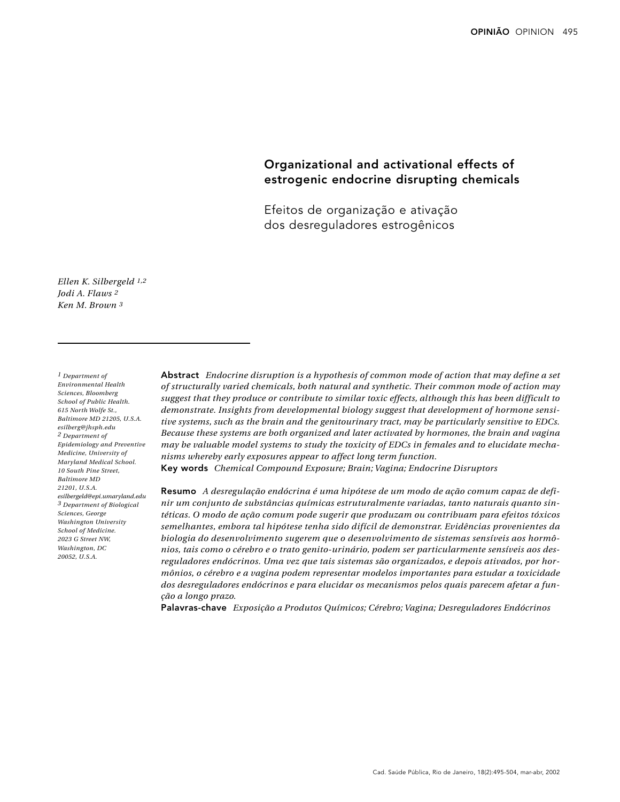## Organizational and activational effects of estrogenic endocrine disrupting chemicals

Efeitos de organização e ativação dos desreguladores estrogênicos

*Ellen K. Silbergeld 1,2 Jodi A. Flaws 2 Ken M. Brown 3*

*1 Department of Environmental Health Sciences, Bloomberg School of Public Health. 615 North Wolfe St., Baltimore MD 21205, U.S.A. esilberg@jhsph.edu 2 Department of Epidemiology and Preventive Medicine, University of Maryland Medical School. 10 South Pine Street, Baltimore MD 21201, U.S.A. esilbergeld@epi.umaryland.edu 3 Department of Biological Sciences, George Washington University School of Medicine. 2023 G Street NW, Washington, DC 20052, U.S.A.*

Abstract *Endocrine disruption is a hypothesis of common mode of action that may define a set of structurally varied chemicals, both natural and synthetic. Their common mode of action may suggest that they produce or contribute to similar toxic effects, although this has been difficult to demonstrate. Insights from developmental biology suggest that development of hormone sensitive systems, such as the brain and the genitourinary tract, may be particularly sensitive to EDCs. Because these systems are both organized and later activated by hormones, the brain and vagina may be valuable model systems to study the toxicity of EDCs in females and to elucidate mechanisms whereby early exposures appear to affect long term function.*

Key words *Chemical Compound Exposure; Brain; Vagina; Endocrine Disruptors*

Resumo *A desregulação endócrina é uma hipótese de um modo de ação comum capaz de definir um conjunto de substâncias químicas estruturalmente variadas, tanto naturais quanto sintéticas. O modo de ação comum pode sugerir que produzam ou contribuam para efeitos tóxicos semelhantes, embora tal hipótese tenha sido difícil de demonstrar. Evidências provenientes da biologia do desenvolvimento sugerem que o desenvolvimento de sistemas sensíveis aos hormônios, tais como o cérebro e o trato genito-urinário, podem ser particularmente sensíveis aos desreguladores endócrinos. Uma vez que tais sistemas são organizados, e depois ativados, por hormônios, o cérebro e a vagina podem representar modelos importantes para estudar a toxicidade dos desreguladores endócrinos e para elucidar os mecanismos pelos quais parecem afetar a função a longo prazo.*

Palavras-chave *Exposição a Produtos Químicos; Cérebro; Vagina; Desreguladores Endócrinos*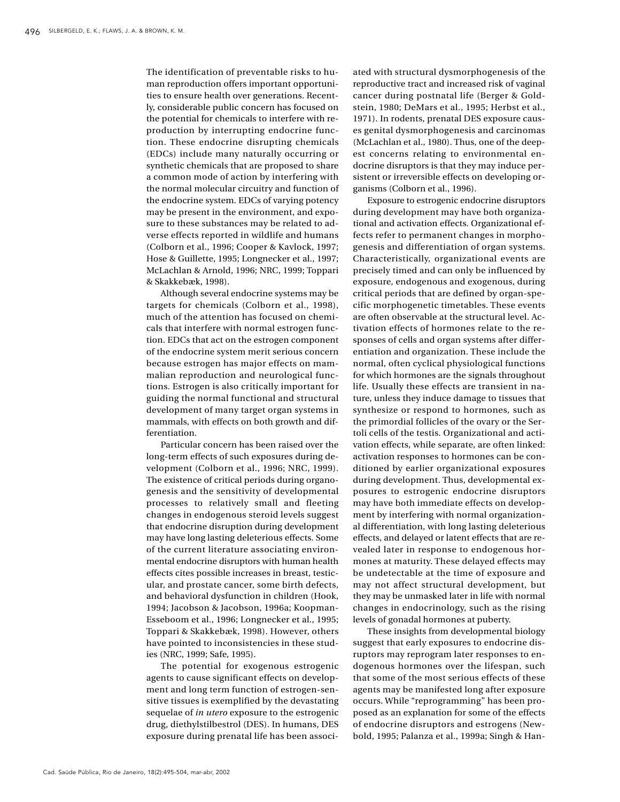The identification of preventable risks to human reproduction offers important opportunities to ensure health over generations. Recently, considerable public concern has focused on the potential for chemicals to interfere with reproduction by interrupting endocrine function. These endocrine disrupting chemicals (EDCs) include many naturally occurring or synthetic chemicals that are proposed to share a common mode of action by interfering with the normal molecular circuitry and function of the endocrine system. EDCs of varying potency may be present in the environment, and exposure to these substances may be related to adverse effects reported in wildlife and humans (Colborn et al., 1996; Cooper & Kavlock, 1997; Hose & Guillette, 1995; Longnecker et al., 1997; McLachlan & Arnold, 1996; NRC, 1999; Toppari & Skakkebæk, 1998).

Although several endocrine systems may be targets for chemicals (Colborn et al., 1998), much of the attention has focused on chemicals that interfere with normal estrogen function. EDCs that act on the estrogen component of the endocrine system merit serious concern because estrogen has major effects on mammalian reproduction and neurological functions. Estrogen is also critically important for guiding the normal functional and structural development of many target organ systems in mammals, with effects on both growth and differentiation.

Particular concern has been raised over the long-term effects of such exposures during development (Colborn et al., 1996; NRC, 1999). The existence of critical periods during organogenesis and the sensitivity of developmental processes to relatively small and fleeting changes in endogenous steroid levels suggest that endocrine disruption during development may have long lasting deleterious effects. Some of the current literature associating environmental endocrine disruptors with human health effects cites possible increases in breast, testicular, and prostate cancer, some birth defects, and behavioral dysfunction in children (Hook, 1994; Jacobson & Jacobson, 1996a; Koopman-Esseboom et al., 1996; Longnecker et al., 1995; Toppari & Skakkebæk, 1998). However, others have pointed to inconsistencies in these studies (NRC, 1999; Safe, 1995).

The potential for exogenous estrogenic agents to cause significant effects on development and long term function of estrogen-sensitive tissues is exemplified by the devastating sequelae of *in utero* exposure to the estrogenic drug, diethylstilbestrol (DES). In humans, DES exposure during prenatal life has been associated with structural dysmorphogenesis of the reproductive tract and increased risk of vaginal cancer during postnatal life (Berger & Goldstein, 1980; DeMars et al., 1995; Herbst et al., 1971). In rodents, prenatal DES exposure causes genital dysmorphogenesis and carcinomas (McLachlan et al., 1980). Thus, one of the deepest concerns relating to environmental endocrine disruptors is that they may induce persistent or irreversible effects on developing organisms (Colborn et al., 1996).

Exposure to estrogenic endocrine disruptors during development may have both organizational and activation effects. Organizational effects refer to permanent changes in morphogenesis and differentiation of organ systems. Characteristically, organizational events are precisely timed and can only be influenced by exposure, endogenous and exogenous, during critical periods that are defined by organ-specific morphogenetic timetables. These events are often observable at the structural level. Activation effects of hormones relate to the responses of cells and organ systems after differentiation and organization. These include the normal, often cyclical physiological functions for which hormones are the signals throughout life. Usually these effects are transient in nature, unless they induce damage to tissues that synthesize or respond to hormones, such as the primordial follicles of the ovary or the Sertoli cells of the testis. Organizational and activation effects, while separate, are often linked: activation responses to hormones can be conditioned by earlier organizational exposures during development. Thus, developmental exposures to estrogenic endocrine disruptors may have both immediate effects on development by interfering with normal organizational differentiation, with long lasting deleterious effects, and delayed or latent effects that are revealed later in response to endogenous hormones at maturity. These delayed effects may be undetectable at the time of exposure and may not affect structural development, but they may be unmasked later in life with normal changes in endocrinology, such as the rising levels of gonadal hormones at puberty.

These insights from developmental biology suggest that early exposures to endocrine disruptors may reprogram later responses to endogenous hormones over the lifespan, such that some of the most serious effects of these agents may be manifested long after exposure occurs. While "reprogramming" has been proposed as an explanation for some of the effects of endocrine disruptors and estrogens (Newbold, 1995; Palanza et al., 1999a; Singh & Han-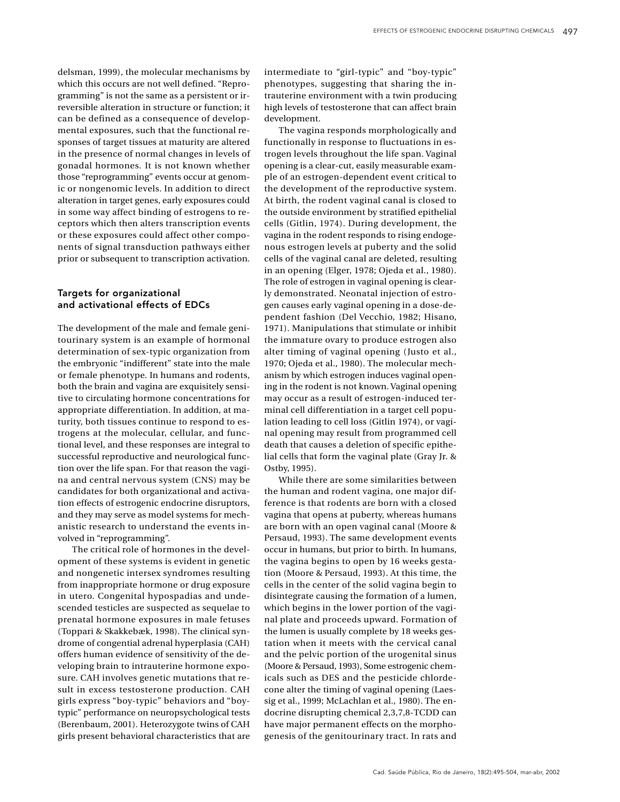delsman, 1999), the molecular mechanisms by which this occurs are not well defined. "Reprogramming" is not the same as a persistent or irreversible alteration in structure or function; it can be defined as a consequence of developmental exposures, such that the functional responses of target tissues at maturity are altered in the presence of normal changes in levels of gonadal hormones. It is not known whether those "reprogramming" events occur at genomic or nongenomic levels. In addition to direct alteration in target genes, early exposures could in some way affect binding of estrogens to receptors which then alters transcription events or these exposures could affect other components of signal transduction pathways either prior or subsequent to transcription activation.

## Targets for organizational and activational effects of EDCs

The development of the male and female genitourinary system is an example of hormonal determination of sex-typic organization from the embryonic "indifferent" state into the male or female phenotype. In humans and rodents, both the brain and vagina are exquisitely sensitive to circulating hormone concentrations for appropriate differentiation. In addition, at maturity, both tissues continue to respond to estrogens at the molecular, cellular, and functional level, and these responses are integral to successful reproductive and neurological function over the life span. For that reason the vagina and central nervous system (CNS) may be candidates for both organizational and activation effects of estrogenic endocrine disruptors, and they may serve as model systems for mechanistic research to understand the events involved in "reprogramming".

The critical role of hormones in the development of these systems is evident in genetic and nongenetic intersex syndromes resulting from inappropriate hormone or drug exposure in utero. Congenital hypospadias and undescended testicles are suspected as sequelae to prenatal hormone exposures in male fetuses (Toppari & Skakkebæk, 1998). The clinical syndrome of congential adrenal hyperplasia (CAH) offers human evidence of sensitivity of the developing brain to intrauterine hormone exposure. CAH involves genetic mutations that result in excess testosterone production. CAH girls express "boy-typic" behaviors and "boytypic" performance on neuropsychological tests (Berenbaum, 2001). Heterozygote twins of CAH girls present behavioral characteristics that are

intermediate to "girl-typic" and "boy-typic" phenotypes, suggesting that sharing the intrauterine environment with a twin producing high levels of testosterone that can affect brain development.

The vagina responds morphologically and functionally in response to fluctuations in estrogen levels throughout the life span. Vaginal opening is a clear-cut, easily measurable example of an estrogen-dependent event critical to the development of the reproductive system. At birth, the rodent vaginal canal is closed to the outside environment by stratified epithelial cells (Gitlin, 1974). During development, the vagina in the rodent responds to rising endogenous estrogen levels at puberty and the solid cells of the vaginal canal are deleted, resulting in an opening (Elger, 1978; Ojeda et al., 1980). The role of estrogen in vaginal opening is clearly demonstrated. Neonatal injection of estrogen causes early vaginal opening in a dose-dependent fashion (Del Vecchio, 1982; Hisano, 1971). Manipulations that stimulate or inhibit the immature ovary to produce estrogen also alter timing of vaginal opening (Justo et al., 1970; Ojeda et al., 1980). The molecular mechanism by which estrogen induces vaginal opening in the rodent is not known. Vaginal opening may occur as a result of estrogen-induced terminal cell differentiation in a target cell population leading to cell loss (Gitlin 1974), or vaginal opening may result from programmed cell death that causes a deletion of specific epithelial cells that form the vaginal plate (Gray Jr. & Ostby, 1995).

While there are some similarities between the human and rodent vagina, one major difference is that rodents are born with a closed vagina that opens at puberty, whereas humans are born with an open vaginal canal (Moore & Persaud, 1993). The same development events occur in humans, but prior to birth. In humans, the vagina begins to open by 16 weeks gestation (Moore & Persaud, 1993). At this time, the cells in the center of the solid vagina begin to disintegrate causing the formation of a lumen, which begins in the lower portion of the vaginal plate and proceeds upward. Formation of the lumen is usually complete by 18 weeks gestation when it meets with the cervical canal and the pelvic portion of the urogenital sinus (Moore & Persaud, 1993), Some estrogenic chemicals such as DES and the pesticide chlordecone alter the timing of vaginal opening (Laessig et al., 1999; McLachlan et al., 1980). The endocrine disrupting chemical 2,3,7,8-TCDD can have major permanent effects on the morphogenesis of the genitourinary tract. In rats and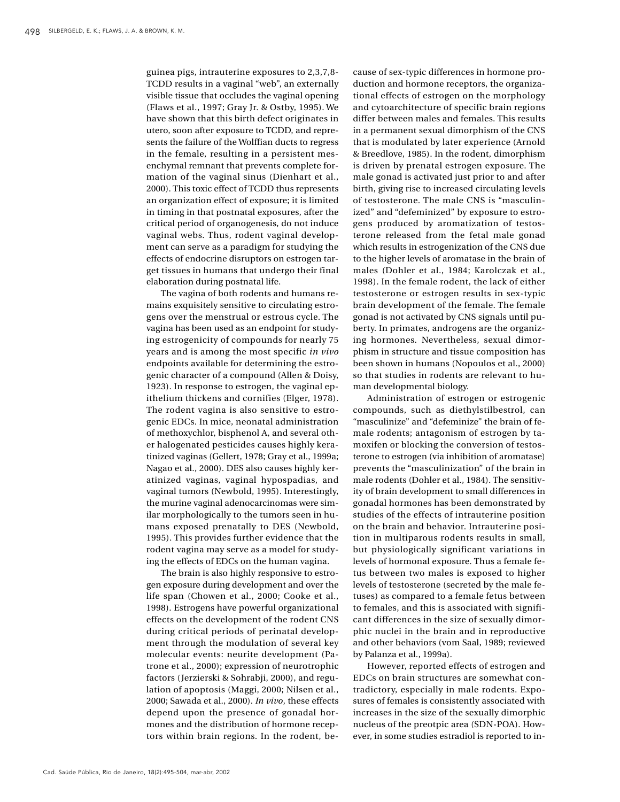guinea pigs, intrauterine exposures to 2,3,7,8- TCDD results in a vaginal "web", an externally visible tissue that occludes the vaginal opening (Flaws et al., 1997; Gray Jr. & Ostby, 1995). We have shown that this birth defect originates in utero, soon after exposure to TCDD, and represents the failure of the Wolffian ducts to regress in the female, resulting in a persistent mesenchymal remnant that prevents complete formation of the vaginal sinus (Dienhart et al., 2000). This toxic effect of TCDD thus represents an organization effect of exposure; it is limited in timing in that postnatal exposures, after the critical period of organogenesis, do not induce vaginal webs. Thus, rodent vaginal development can serve as a paradigm for studying the effects of endocrine disruptors on estrogen target tissues in humans that undergo their final elaboration during postnatal life.

The vagina of both rodents and humans remains exquisitely sensitive to circulating estrogens over the menstrual or estrous cycle. The vagina has been used as an endpoint for studying estrogenicity of compounds for nearly 75 years and is among the most specific *in vivo* endpoints available for determining the estrogenic character of a compound (Allen & Doisy, 1923). In response to estrogen, the vaginal epithelium thickens and cornifies (Elger, 1978). The rodent vagina is also sensitive to estrogenic EDCs. In mice, neonatal administration of methoxychlor, bisphenol A, and several other halogenated pesticides causes highly keratinized vaginas (Gellert, 1978; Gray et al., 1999a; Nagao et al., 2000). DES also causes highly keratinized vaginas, vaginal hypospadias, and vaginal tumors (Newbold, 1995). Interestingly, the murine vaginal adenocarcinomas were similar morphologically to the tumors seen in humans exposed prenatally to DES (Newbold, 1995). This provides further evidence that the rodent vagina may serve as a model for studying the effects of EDCs on the human vagina.

The brain is also highly responsive to estrogen exposure during development and over the life span (Chowen et al., 2000; Cooke et al., 1998). Estrogens have powerful organizational effects on the development of the rodent CNS during critical periods of perinatal development through the modulation of several key molecular events: neurite development (Patrone et al., 2000); expression of neurotrophic factors (Jerzierski & Sohrabji, 2000), and regulation of apoptosis (Maggi, 2000; Nilsen et al., 2000; Sawada et al., 2000). *In vivo*, these effects depend upon the presence of gonadal hormones and the distribution of hormone receptors within brain regions. In the rodent, because of sex-typic differences in hormone production and hormone receptors, the organizational effects of estrogen on the morphology and cytoarchitecture of specific brain regions differ between males and females. This results in a permanent sexual dimorphism of the CNS that is modulated by later experience (Arnold & Breedlove, 1985). In the rodent, dimorphism is driven by prenatal estrogen exposure. The male gonad is activated just prior to and after birth, giving rise to increased circulating levels of testosterone. The male CNS is "masculinized" and "defeminized" by exposure to estrogens produced by aromatization of testosterone released from the fetal male gonad which results in estrogenization of the CNS due to the higher levels of aromatase in the brain of males (Dohler et al., 1984; Karolczak et al., 1998). In the female rodent, the lack of either testosterone or estrogen results in sex-typic brain development of the female. The female gonad is not activated by CNS signals until puberty. In primates, androgens are the organizing hormones. Nevertheless, sexual dimorphism in structure and tissue composition has been shown in humans (Nopoulos et al., 2000) so that studies in rodents are relevant to human developmental biology.

Administration of estrogen or estrogenic compounds, such as diethylstilbestrol, can "masculinize" and "defeminize" the brain of female rodents; antagonism of estrogen by tamoxifen or blocking the conversion of testosterone to estrogen (via inhibition of aromatase) prevents the "masculinization" of the brain in male rodents (Dohler et al., 1984). The sensitivity of brain development to small differences in gonadal hormones has been demonstrated by studies of the effects of intrauterine position on the brain and behavior. Intrauterine position in multiparous rodents results in small, but physiologically significant variations in levels of hormonal exposure. Thus a female fetus between two males is exposed to higher levels of testosterone (secreted by the male fetuses) as compared to a female fetus between to females, and this is associated with significant differences in the size of sexually dimorphic nuclei in the brain and in reproductive and other behaviors (vom Saal, 1989; reviewed by Palanza et al., 1999a).

However, reported effects of estrogen and EDCs on brain structures are somewhat contradictory, especially in male rodents. Exposures of females is consistently associated with increases in the size of the sexually dimorphic nucleus of the preotpic area (SDN-POA). However, in some studies estradiol is reported to in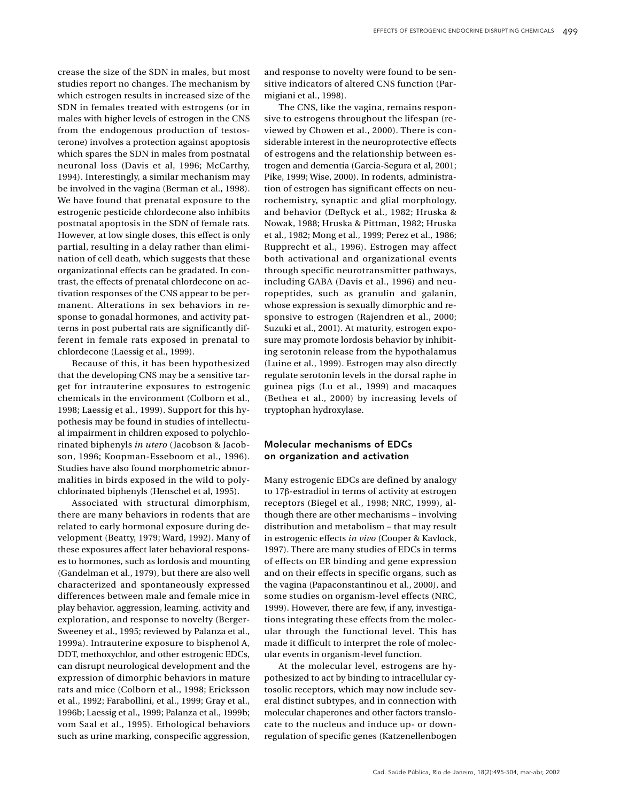crease the size of the SDN in males, but most studies report no changes. The mechanism by which estrogen results in increased size of the SDN in females treated with estrogens (or in males with higher levels of estrogen in the CNS from the endogenous production of testosterone) involves a protection against apoptosis which spares the SDN in males from postnatal neuronal loss (Davis et al, 1996; McCarthy, 1994). Interestingly, a similar mechanism may be involved in the vagina (Berman et al., 1998). We have found that prenatal exposure to the estrogenic pesticide chlordecone also inhibits postnatal apoptosis in the SDN of female rats. However, at low single doses, this effect is only partial, resulting in a delay rather than elimination of cell death, which suggests that these organizational effects can be gradated. In contrast, the effects of prenatal chlordecone on activation responses of the CNS appear to be permanent. Alterations in sex behaviors in response to gonadal hormones, and activity patterns in post pubertal rats are significantly different in female rats exposed in prenatal to chlordecone (Laessig et al., 1999).

Because of this, it has been hypothesized that the developing CNS may be a sensitive target for intrauterine exposures to estrogenic chemicals in the environment (Colborn et al., 1998; Laessig et al., 1999). Support for this hypothesis may be found in studies of intellectual impairment in children exposed to polychlorinated biphenyls *in utero* (Jacobson & Jacobson, 1996; Koopman-Esseboom et al., 1996). Studies have also found morphometric abnormalities in birds exposed in the wild to polychlorinated biphenyls (Henschel et al, 1995).

Associated with structural dimorphism, there are many behaviors in rodents that are related to early hormonal exposure during development (Beatty, 1979; Ward, 1992). Many of these exposures affect later behavioral responses to hormones, such as lordosis and mounting (Gandelman et al., 1979), but there are also well characterized and spontaneously expressed differences between male and female mice in play behavior, aggression, learning, activity and exploration, and response to novelty (Berger-Sweeney et al., 1995; reviewed by Palanza et al., 1999a). Intrauterine exposure to bisphenol A, DDT, methoxychlor, and other estrogenic EDCs, can disrupt neurological development and the expression of dimorphic behaviors in mature rats and mice (Colborn et al., 1998; Ericksson et al., 1992; Farabollini, et al., 1999; Gray et al., 1996b; Laessig et al., 1999; Palanza et al., 1999b; vom Saal et al., 1995). Ethological behaviors such as urine marking, conspecific aggression,

and response to novelty were found to be sensitive indicators of altered CNS function (Parmigiani et al., 1998).

The CNS, like the vagina, remains responsive to estrogens throughout the lifespan (reviewed by Chowen et al., 2000). There is considerable interest in the neuroprotective effects of estrogens and the relationship between estrogen and dementia (Garcia-Segura et al, 2001; Pike, 1999; Wise, 2000). In rodents, administration of estrogen has significant effects on neurochemistry, synaptic and glial morphology, and behavior (DeRyck et al., 1982; Hruska & Nowak, 1988; Hruska & Pittman, 1982; Hruska et al., 1982; Mong et al., 1999; Perez et al., 1986; Rupprecht et al., 1996). Estrogen may affect both activational and organizational events through specific neurotransmitter pathways, including GABA (Davis et al., 1996) and neuropeptides, such as granulin and galanin, whose expression is sexually dimorphic and responsive to estrogen (Rajendren et al., 2000; Suzuki et al., 2001). At maturity, estrogen exposure may promote lordosis behavior by inhibiting serotonin release from the hypothalamus (Luine et al., 1999). Estrogen may also directly regulate serotonin levels in the dorsal raphe in guinea pigs (Lu et al., 1999) and macaques (Bethea et al., 2000) by increasing levels of tryptophan hydroxylase.

## Molecular mechanisms of EDCs on organization and activation

Many estrogenic EDCs are defined by analogy to 17β-estradiol in terms of activity at estrogen receptors (Biegel et al., 1998; NRC, 1999), although there are other mechanisms – involving distribution and metabolism – that may result in estrogenic effects *in vivo* (Cooper & Kavlock, 1997). There are many studies of EDCs in terms of effects on ER binding and gene expression and on their effects in specific organs, such as the vagina (Papaconstantinou et al., 2000), and some studies on organism-level effects (NRC, 1999). However, there are few, if any, investigations integrating these effects from the molecular through the functional level. This has made it difficult to interpret the role of molecular events in organism-level function.

At the molecular level, estrogens are hypothesized to act by binding to intracellular cytosolic receptors, which may now include several distinct subtypes, and in connection with molecular chaperones and other factors translocate to the nucleus and induce up- or downregulation of specific genes (Katzenellenbogen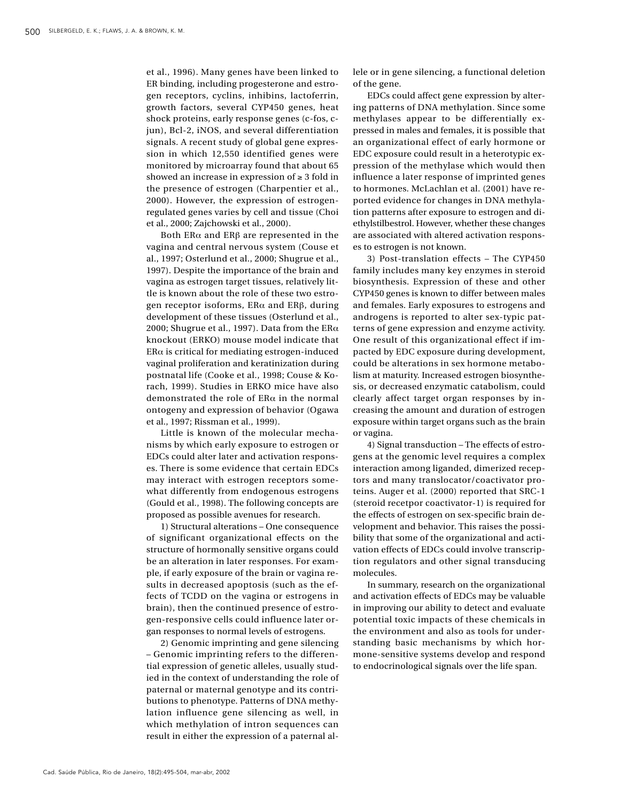et al., 1996). Many genes have been linked to ER binding, including progesterone and estrogen receptors, cyclins, inhibins, lactoferrin, growth factors, several CYP450 genes, heat shock proteins, early response genes (c-fos, cjun), Bcl-2, iNOS, and several differentiation signals. A recent study of global gene expression in which 12,550 identified genes were monitored by microarray found that about 65 showed an increase in expression of ≥ 3 fold in the presence of estrogen (Charpentier et al., 2000). However, the expression of estrogenregulated genes varies by cell and tissue (Choi et al., 2000; Zajchowski et al., 2000).

Both ERα and ERβ are represented in the vagina and central nervous system (Couse et al., 1997; Osterlund et al., 2000; Shugrue et al., 1997). Despite the importance of the brain and vagina as estrogen target tissues, relatively little is known about the role of these two estrogen receptor isoforms, ERα and ERβ, during development of these tissues (Osterlund et al., 2000; Shugrue et al., 1997). Data from the  $ER\alpha$ knockout (ERKO) mouse model indicate that  $ER\alpha$  is critical for mediating estrogen-induced vaginal proliferation and keratinization during postnatal life (Cooke et al., 1998; Couse & Korach, 1999). Studies in ERKO mice have also demonstrated the role of ERα in the normal ontogeny and expression of behavior (Ogawa et al., 1997; Rissman et al., 1999).

Little is known of the molecular mechanisms by which early exposure to estrogen or EDCs could alter later and activation responses. There is some evidence that certain EDCs may interact with estrogen receptors somewhat differently from endogenous estrogens (Gould et al., 1998). The following concepts are proposed as possible avenues for research.

1) Structural alterations – One consequence of significant organizational effects on the structure of hormonally sensitive organs could be an alteration in later responses. For example, if early exposure of the brain or vagina results in decreased apoptosis (such as the effects of TCDD on the vagina or estrogens in brain), then the continued presence of estrogen-responsive cells could influence later organ responses to normal levels of estrogens.

2) Genomic imprinting and gene silencing – Genomic imprinting refers to the differential expression of genetic alleles, usually studied in the context of understanding the role of paternal or maternal genotype and its contributions to phenotype. Patterns of DNA methylation influence gene silencing as well, in which methylation of intron sequences can result in either the expression of a paternal allele or in gene silencing, a functional deletion of the gene.

EDCs could affect gene expression by altering patterns of DNA methylation. Since some methylases appear to be differentially expressed in males and females, it is possible that an organizational effect of early hormone or EDC exposure could result in a heterotypic expression of the methylase which would then influence a later response of imprinted genes to hormones. McLachlan et al. (2001) have reported evidence for changes in DNA methylation patterns after exposure to estrogen and diethylstilbestrol. However, whether these changes are associated with altered activation responses to estrogen is not known.

3) Post-translation effects – The CYP450 family includes many key enzymes in steroid biosynthesis. Expression of these and other CYP450 genes is known to differ between males and females. Early exposures to estrogens and androgens is reported to alter sex-typic patterns of gene expression and enzyme activity. One result of this organizational effect if impacted by EDC exposure during development, could be alterations in sex hormone metabolism at maturity. Increased estrogen biosynthesis, or decreased enzymatic catabolism, could clearly affect target organ responses by increasing the amount and duration of estrogen exposure within target organs such as the brain or vagina.

4) Signal transduction – The effects of estrogens at the genomic level requires a complex interaction among liganded, dimerized receptors and many translocator/coactivator proteins. Auger et al. (2000) reported that SRC-1 (steroid recetpor coactivator-1) is required for the effects of estrogen on sex-specific brain development and behavior. This raises the possibility that some of the organizational and activation effects of EDCs could involve transcription regulators and other signal transducing molecules.

In summary, research on the organizational and activation effects of EDCs may be valuable in improving our ability to detect and evaluate potential toxic impacts of these chemicals in the environment and also as tools for understanding basic mechanisms by which hormone-sensitive systems develop and respond to endocrinological signals over the life span.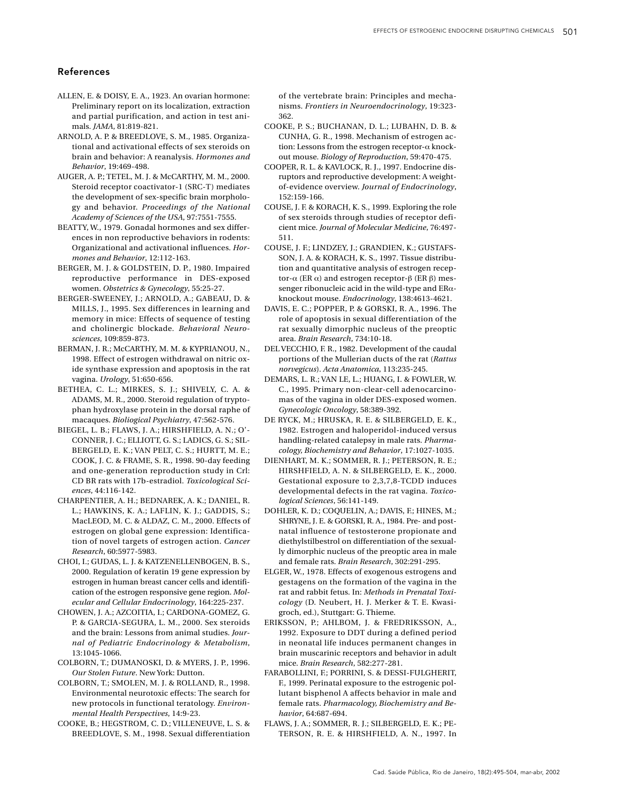## References

- ALLEN, E. & DOISY, E. A., 1923. An ovarian hormone: Preliminary report on its localization, extraction and partial purification, and action in test animals. *JAMA*, 81:819-821.
- ARNOLD, A. P. & BREEDLOVE, S. M., 1985. Organizational and activational effects of sex steroids on brain and behavior: A reanalysis. *Hormones and Behavior*, 19:469-498.
- AUGER, A. P.; TETEL, M. J. & McCARTHY, M. M., 2000. Steroid receptor coactivator-1 (SRC-T) mediates the development of sex-specific brain morphology and behavior. *Proceedings of the National Academy of Sciences of the USA*, 97:7551-7555.
- BEATTY, W., 1979. Gonadal hormones and sex differences in non reproductive behaviors in rodents: Organizational and activational influences. *Hormones and Behavior*, 12:112-163.
- BERGER, M. J. & GOLDSTEIN, D. P., 1980. Impaired reproductive performance in DES-exposed women. *Obstetrics & Gynecology*, 55:25-27.
- BERGER-SWEENEY, J.; ARNOLD, A.; GABEAU, D. & MILLS, J., 1995. Sex differences in learning and memory in mice: Effects of sequence of testing and cholinergic blockade. *Behavioral Neurosciences*, 109:859-873.
- BERMAN, J. R.; McCARTHY, M. M. & KYPRIANOU, N., 1998. Effect of estrogen withdrawal on nitric oxide synthase expression and apoptosis in the rat vagina. *Urology*, 51:650-656.
- BETHEA, C. L.; MIRKES, S. J.; SHIVELY, C. A. & ADAMS, M. R., 2000. Steroid regulation of tryptophan hydroxylase protein in the dorsal raphe of macaques. *Bioliogical Psychiatry*, 47:562-576.
- BIEGEL, L. B.; FLAWS, J. A.; HIRSHFIELD, A. N.; O'- CONNER, J. C.; ELLIOTT, G. S.; LADICS, G. S.; SIL-BERGELD, E. K.; VAN PELT, C. S.; HURTT, M. E.; COOK, J. C. & FRAME, S. R., 1998. 90-day feeding and one-generation reproduction study in Crl: CD BR rats with 17b-estradiol. *Toxicological Sciences*, 44:116-142.
- CHARPENTIER, A. H.; BEDNAREK, A. K.; DANIEL, R. L.; HAWKINS, K. A.; LAFLIN, K. J.; GADDIS, S.; MacLEOD, M. C. & ALDAZ, C. M., 2000. Effects of estrogen on global gene expression: Identification of novel targets of estrogen action. *Cancer Research*, 60:5977-5983.
- CHOI, I.; GUDAS, L. J. & KATZENELLENBOGEN, B. S., 2000. Regulation of keratin 19 gene expression by estrogen in human breast cancer cells and identification of the estrogen responsive gene region. *Molecular and Cellular Endocrinology*, 164:225-237.
- CHOWEN, J. A.; AZCOITIA, I.; CARDONA-GOMEZ, G. P. & GARCIA-SEGURA, L. M., 2000. Sex steroids and the brain: Lessons from animal studies. *Journal of Pediatric Endocrinology & Metabolism*, 13:1045-1066.
- COLBORN, T.; DUMANOSKI, D. & MYERS, J. P., 1996. *Our Stolen Future*. New York: Dutton.
- COLBORN, T.; SMOLEN, M. J. & ROLLAND, R., 1998. Environmental neurotoxic effects: The search for new protocols in functional teratology. *Environmental Health Perspectives*, 14:9-23.
- COOKE, B.; HEGSTROM, C. D.; VILLENEUVE, L. S. & BREEDLOVE, S. M., 1998. Sexual differentiation

of the vertebrate brain: Principles and mechanisms. *Frontiers in Neuroendocrinology*, 19:323- 362.

- COOKE, P. S.; BUCHANAN, D. L.; LUBAHN, D. B. & CUNHA, G. R., 1998. Mechanism of estrogen action: Lessons from the estrogen receptor-α knockout mouse. *Biology of Reproduction*, 59:470-475.
- COOPER, R. L. & KAVLOCK, R. J., 1997. Endocrine disruptors and reproductive development: A weightof-evidence overview. *Journal of Endocrinology*, 152:159-166.
- COUSE, J. F. & KORACH, K. S., 1999. Exploring the role of sex steroids through studies of receptor deficient mice. *Journal of Molecular Medicine*, 76:497- 511.
- COUSE, J. F.; LINDZEY, J.; GRANDIEN, K.; GUSTAFS-SON, J. A. & KORACH, K. S., 1997. Tissue distribution and quantitative analysis of estrogen receptor- $\alpha$  (ER  $\alpha$ ) and estrogen receptor-β (ER β) messenger ribonucleic acid in the wild-type and ERαknockout mouse. *Endocrinology*, 138:4613-4621.
- DAVIS, E. C.; POPPER, P. & GORSKI, R. A., 1996. The role of apoptosis in sexual differentiation of the rat sexually dimorphic nucleus of the preoptic area. *Brain Research*, 734:10-18.
- DEL VECCHIO, F. R., 1982. Development of the caudal portions of the Mullerian ducts of the rat (*Rattus norvegicus*). *Acta Anatomica*, 113:235-245.
- DEMARS, L. R.; VAN LE, L.; HUANG, I. & FOWLER, W. C., 1995. Primary non-clear-cell adenocarcinomas of the vagina in older DES-exposed women. *Gynecologic Oncology*, 58:389-392.
- DE RYCK, M.; HRUSKA, R. E. & SILBERGELD, E. K., 1982. Estrogen and haloperidol-induced versus handling-related catalepsy in male rats. *Pharmacology, Biochemistry and Behavior*, 17:1027-1035.
- DIENHART, M. K.; SOMMER, R. J.; PETERSON, R. E.; HIRSHFIELD, A. N. & SILBERGELD, E. K., 2000. Gestational exposure to 2,3,7,8-TCDD induces developmental defects in the rat vagina. *Toxicological Sciences*, 56:141-149.
- DOHLER, K. D.; COQUELIN, A.; DAVIS, F.; HINES, M.; SHRYNE, J. E. & GORSKI, R. A., 1984. Pre- and postnatal influence of testosterone propionate and diethylstilbestrol on differentiation of the sexually dimorphic nucleus of the preoptic area in male and female rats. *Brain Research*, 302:291-295.
- ELGER, W., 1978. Effects of exogenous estrogens and gestagens on the formation of the vagina in the rat and rabbit fetus. In: *Methods in Prenatal Toxicology* (D. Neubert, H. J. Merker & T. E. Kwasigroch, ed.), Stuttgart: G. Thieme.
- ERIKSSON, P.; AHLBOM, J. & FREDRIKSSON, A., 1992. Exposure to DDT during a defined period in neonatal life induces permanent changes in brain muscarinic receptors and behavior in adult mice. *Brain Research*, 582:277-281.
- FARABOLLINI, F.; PORRINI, S. & DESSI-FULGHERIT, F., 1999. Perinatal exposure to the estrogenic pollutant bisphenol A affects behavior in male and female rats. *Pharmacology, Biochemistry and Behavior*, 64:687-694.
- FLAWS, J. A.; SOMMER, R. J.; SILBERGELD, E. K.; PE-TERSON, R. E. & HIRSHFIELD, A. N., 1997. In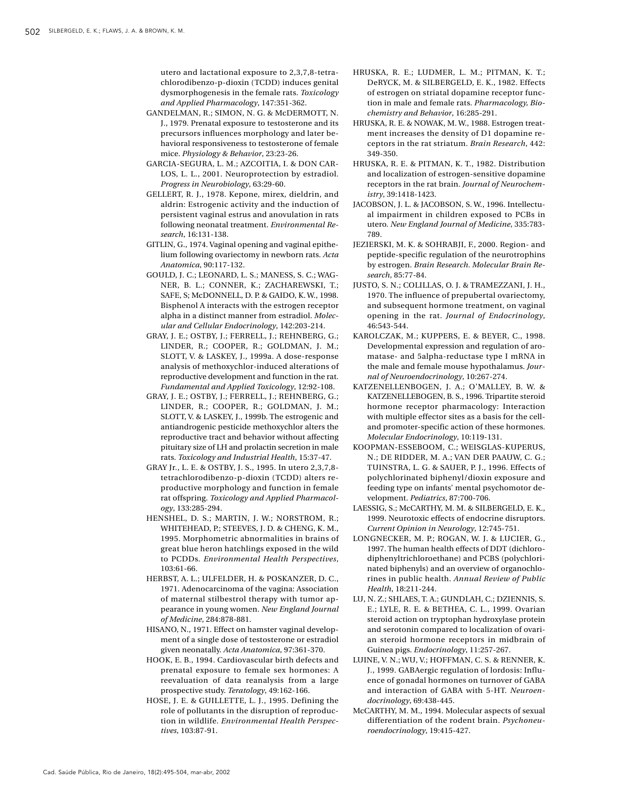utero and lactational exposure to 2,3,7,8-tetrachlorodibenzo-p-dioxin (TCDD) induces genital dysmorphogenesis in the female rats. *Toxicology and Applied Pharmacology*, 147:351-362.

- GANDELMAN, R.; SIMON, N. G. & McDERMOTT, N. J., 1979. Prenatal exposure to testosterone and its precursors influences morphology and later behavioral responsiveness to testosterone of female mice. *Physiology & Behavior*, 23:23-26.
- GARCIA-SEGURA, L. M.; AZCOITIA, I. & DON CAR-LOS, L. L., 2001. Neuroprotection by estradiol. *Progress in Neurobiology*, 63:29-60.
- GELLERT, R. J., 1978. Kepone, mirex, dieldrin, and aldrin: Estrogenic activity and the induction of persistent vaginal estrus and anovulation in rats following neonatal treatment. *Environmental Research*, 16:131-138.
- GITLIN, G., 1974. Vaginal opening and vaginal epithelium following ovariectomy in newborn rats. *Acta Anatomica*, 90:117-132.
- GOULD, J. C.; LEONARD, L. S.; MANESS, S. C.; WAG-NER, B. L.; CONNER, K.; ZACHAREWSKI, T.; SAFE, S; McDONNELL, D. P. & GAIDO, K. W., 1998. Bisphenol A interacts with the estrogen receptor alpha in a distinct manner from estradiol. *Molecular and Cellular Endocrinology*, 142:203-214.
- GRAY, J. E.; OSTBY, J.; FERRELL, J.; REHNBERG, G.; LINDER, R.; COOPER, R.; GOLDMAN, J. M.; SLOTT, V. & LASKEY, J., 1999a. A dose-response analysis of methoxychlor-induced alterations of reproductive development and function in the rat. *Fundamental and Applied Toxicology*, 12:92-108.
- GRAY, J. E.; OSTBY, J.; FERRELL, J.; REHNBERG, G.; LINDER, R.; COOPER, R.; GOLDMAN, J. M.; SLOTT, V. & LASKEY, J., 1999b. The estrogenic and antiandrogenic pesticide methoxychlor alters the reproductive tract and behavior without affecting pituitary size of LH and prolactin secretion in male rats. *Toxicology and Industrial Health*, 15:37-47.
- GRAY Jr., L. E. & OSTBY, J. S., 1995. In utero 2,3,7,8 tetrachlorodibenzo-p-dioxin (TCDD) alters reproductive morphology and function in female rat offspring. *Toxicology and Applied Pharmacology*, 133:285-294.
- HENSHEL, D. S.; MARTIN, J. W.; NORSTROM, R.; WHITEHEAD, P.; STEEVES, J. D. & CHENG, K. M., 1995. Morphometric abnormalities in brains of great blue heron hatchlings exposed in the wild to PCDDs. *Environmental Health Perspectives*, 103:61-66.
- HERBST, A. L.; ULFELDER, H. & POSKANZER, D. C., 1971. Adenocarcinoma of the vagina: Association of maternal stilbestrol therapy with tumor appearance in young women. *New England Journal of Medicine*, 284:878-881.
- HISANO, N., 1971. Effect on hamster vaginal development of a single dose of testosterone or estradiol given neonatally. *Acta Anatomica*, 97:361-370.
- HOOK, E. B., 1994. Cardiovascular birth defects and prenatal exposure to female sex hormones: A reevaluation of data reanalysis from a large prospective study. *Teratology*, 49:162-166.
- HOSE, J. E. & GUILLETTE, L. J., 1995. Defining the role of pollutants in the disruption of reproduction in wildlife. *Environmental Health Perspectives*, 103:87-91.
- HRUSKA, R. E.; LUDMER, L. M.; PITMAN, K. T.; DeRYCK, M. & SILBERGELD, E. K., 1982. Effects of estrogen on striatal dopamine receptor function in male and female rats. *Pharmacology, Biochemistry and Behavior*, 16:285-291.
- HRUSKA, R. E. & NOWAK, M. W., 1988. Estrogen treatment increases the density of D1 dopamine receptors in the rat striatum. *Brain Research*, 442: 349-350.
- HRUSKA, R. E. & PITMAN, K. T., 1982. Distribution and localization of estrogen-sensitive dopamine receptors in the rat brain. *Journal of Neurochemistry*, 39:1418-1423.
- JACOBSON, J. L. & JACOBSON, S. W., 1996. Intellectual impairment in children exposed to PCBs in utero. *New England Journal of Medicine*, 335:783- 789.
- JEZIERSKI, M. K. & SOHRABJI, F., 2000. Region- and peptide-specific regulation of the neurotrophins by estrogen. *Brain Research. Molecular Brain Research*, 85:77-84.
- JUSTO, S. N.; COLILLAS, O. J. & TRAMEZZANI, J. H., 1970. The influence of prepubertal ovariectomy, and subsequent hormone treatment, on vaginal opening in the rat. *Journal of Endocrinology*, 46:543-544.
- KAROLCZAK, M.; KUPPERS, E. & BEYER, C., 1998. Developmental expression and regulation of aromatase- and 5alpha-reductase type I mRNA in the male and female mouse hypothalamus. *Journal of Neuroendocrinology*, 10:267-274.
- KATZENELLENBOGEN, J. A.; O'MALLEY, B. W. & KATZENELLEBOGEN, B. S., 1996. Tripartite steroid hormone receptor pharmacology: Interaction with multiple effector sites as a basis for the celland promoter-specific action of these hormones. *Molecular Endocrinology*, 10:119-131.
- KOOPMAN-ESSEBOOM, C.; WEISGLAS-KUPERUS, N.; DE RIDDER, M. A.; VAN DER PAAUW, C. G.; TUINSTRA, L. G. & SAUER, P. J., 1996. Effects of polychlorinated biphenyl/dioxin exposure and feeding type on infants' mental psychomotor development. *Pediatrics*, 87:700-706.
- LAESSIG, S.; McCARTHY, M. M. & SILBERGELD, E. K., 1999. Neurotoxic effects of endocrine disruptors. *Current Opinion in Neurology*, 12:745-751.
- LONGNECKER, M. P.; ROGAN, W. J. & LUCIER, G., 1997. The human health effects of DDT (dichlorodiphenyltrichloroethane) and PCBS (polychlorinated biphenyls) and an overview of organochlorines in public health. *Annual Review of Public Health*, 18:211-244.
- LU, N. Z.; SHLAES, T. A.; GUNDLAH, C.; DZIENNIS, S. E.; LYLE, R. E. & BETHEA, C. L., 1999. Ovarian steroid action on tryptophan hydroxylase protein and serotonin compared to localization of ovarian steroid hormone receptors in midbrain of Guinea pigs. *Endocrinology*, 11:257-267.
- LUINE, V. N.; WU, V.; HOFFMAN, C. S. & RENNER, K. J., 1999. GABAergic regulation of lordosis: Influence of gonadal hormones on turnover of GABA and interaction of GABA with 5-HT. *Neuroendocrinology*, 69:438-445.
- McCARTHY, M. M., 1994. Molecular aspects of sexual differentiation of the rodent brain. *Psychoneuroendocrinology*, 19:415-427.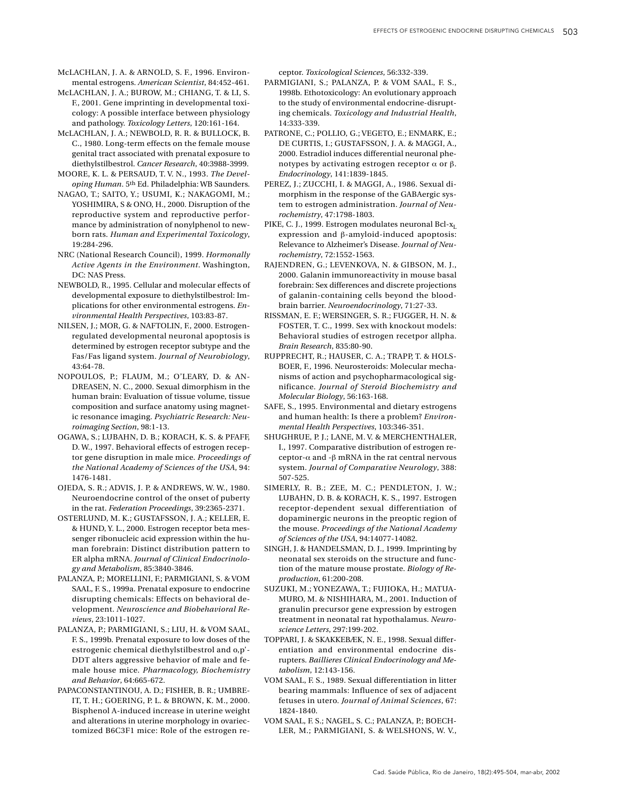- McLACHLAN, J. A. & ARNOLD, S. F., 1996. Environmental estrogens. *American Scientist*, 84:452-461.
- McLACHLAN, J. A.; BUROW, M.; CHIANG, T. & LI, S. F., 2001. Gene imprinting in developmental toxicology: A possible interface between physiology and pathology. *Toxicology Letters*, 120:161-164.
- McLACHLAN, J. A.; NEWBOLD, R. R. & BULLOCK, B. C., 1980. Long-term effects on the female mouse genital tract associated with prenatal exposure to diethylstilbestrol. *Cancer Research*, 40:3988-3999.
- MOORE, K. L. & PERSAUD, T. V. N., 1993. *The Developing Human*. 5th Ed. Philadelphia: WB Saunders.
- NAGAO, T.; SAITO, Y.; USUMI, K.; NAKAGOMI, M.; YOSHIMIRA, S & ONO, H., 2000. Disruption of the reproductive system and reproductive performance by administration of nonylphenol to newborn rats. *Human and Experimental Toxicology*, 19:284-296.
- NRC (National Research Council), 1999. *Hormonally Active Agents in the Environment*. Washington, DC: NAS Press.
- NEWBOLD, R., 1995. Cellular and molecular effects of developmental exposure to diethylstilbestrol: Implications for other environmental estrogens. *Environmental Health Perspectives*, 103:83-87.
- NILSEN, J.; MOR, G. & NAFTOLIN, F., 2000. Estrogenregulated developmental neuronal apoptosis is determined by estrogen receptor subtype and the Fas/Fas ligand system. *Journal of Neurobiology*, 43:64-78.
- NOPOULOS, P.; FLAUM, M.; O'LEARY, D. & AN-DREASEN, N. C., 2000. Sexual dimorphism in the human brain: Evaluation of tissue volume, tissue composition and surface anatomy using magnetic resonance imaging. *Psychiatric Research: Neuroimaging Section*, 98:1-13.
- OGAWA, S.; LUBAHN, D. B.; KORACH, K. S. & PFAFF, D. W., 1997. Behavioral effects of estrogen receptor gene disruption in male mice. *Proceedings of the National Academy of Sciences of the USA*, 94: 1476-1481.
- OJEDA, S. R.; ADVIS, J. P. & ANDREWS, W. W., 1980. Neuroendocrine control of the onset of puberty in the rat. *Federation Proceedings*, 39:2365-2371.
- OSTERLUND, M. K.; GUSTAFSSON, J. A.; KELLER, E. & HUND, Y. L., 2000. Estrogen receptor beta messenger ribonucleic acid expression within the human forebrain: Distinct distribution pattern to ER alpha mRNA. *Journal of Clinical Endocrinology and Metabolism*, 85:3840-3846.
- PALANZA, P.; MORELLINI, F.; PARMIGIANI, S. & VOM SAAL, F. S., 1999a. Prenatal exposure to endocrine disrupting chemicals: Effects on behavioral development. *Neuroscience and Biobehavioral Reviews*, 23:1011-1027.
- PALANZA, P.; PARMIGIANI, S.; LIU, H. & VOM SAAL, F. S., 1999b. Prenatal exposure to low doses of the estrogenic chemical diethylstilbestrol and o,p'- DDT alters aggressive behavior of male and female house mice. *Pharmacology, Biochemistry and Behavior*, 64:665-672.
- PAPACONSTANTINOU, A. D.; FISHER, B. R.; UMBRE-IT, T. H.; GOERING, P. L. & BROWN, K. M., 2000. Bisphenol A-induced increase in uterine weight and alterations in uterine morphology in ovariectomized B6C3F1 mice: Role of the estrogen re-

ceptor. *Toxicological Sciences*, 56:332-339.

- PARMIGIANI, S.; PALANZA, P. & VOM SAAL, F. S., 1998b. Ethotoxicology: An evolutionary approach to the study of environmental endocrine-disrupting chemicals. *Toxicology and Industrial Health*, 14:333-339.
- PATRONE, C.; POLLIO, G.; VEGETO, E.; ENMARK, E.; DE CURTIS, I.; GUSTAFSSON, J. A. & MAGGI, A., 2000. Estradiol induces differential neuronal phenotypes by activating estrogen receptor α or β. *Endocrinology*, 141:1839-1845.
- PEREZ, J.; ZUCCHI, I. & MAGGI, A., 1986. Sexual dimorphism in the response of the GABAergic system to estrogen administration. *Journal of Neurochemistry*, 47:1798-1803.
- PIKE, C. J., 1999. Estrogen modulates neuronal Bcl-x<sub>L</sub> expression and β-amyloid-induced apoptosis: Relevance to Alzheimer's Disease. *Journal of Neurochemistry*, 72:1552-1563.
- RAJENDREN, G.; LEVENKOVA, N. & GIBSON, M. J., 2000. Galanin immunoreactivity in mouse basal forebrain: Sex differences and discrete projections of galanin-containing cells beyond the bloodbrain barrier. *Neuroendocrinology*, 71:27-33.
- RISSMAN, E. F.; WERSINGER, S. R.; FUGGER, H. N. & FOSTER, T. C., 1999. Sex with knockout models: Behavioral studies of estrogen recetpor allpha. *Brain Research*, 835:80-90.
- RUPPRECHT, R.; HAUSER, C. A.; TRAPP, T. & HOLS-BOER, F., 1996. Neurosteroids: Molecular mechanisms of action and psychopharmacological significance. *Journal of Steroid Biochemistry and Molecular Biology*, 56:163-168.
- SAFE, S., 1995. Environmental and dietary estrogens and human health: Is there a problem? *Environmental Health Perspectives*, 103:346-351.
- SHUGHRUE, P. J.; LANE, M. V. & MERCHENTHALER, I., 1997. Comparative distribution of estrogen receptor-α and -β mRNA in the rat central nervous system. *Journal of Comparative Neurology*, 388: 507-525.
- SIMERLY, R. B.; ZEE, M. C.; PENDLETON, J. W.; LUBAHN, D. B. & KORACH, K. S., 1997. Estrogen receptor-dependent sexual differentiation of dopaminergic neurons in the preoptic region of the mouse. *Proceedings of the National Academy of Sciences of the USA*, 94:14077-14082.
- SINGH, J. & HANDELSMAN, D. J., 1999. Imprinting by neonatal sex steroids on the structure and function of the mature mouse prostate. *Biology of Reproduction*, 61:200-208.
- SUZUKI, M.; YONEZAWA, T.; FUJIOKA, H.; MATUA-MURO, M. & NISHIHARA, M., 2001. Induction of granulin precursor gene expression by estrogen treatment in neonatal rat hypothalamus. *Neuroscience Letters*, 297:199-202.
- TOPPARI, J. & SKAKKEBÆK, N. E., 1998. Sexual differentiation and environmental endocrine disrupters. *Baillieres Clinical Endocrinology and Metabolism*, 12:143-156.
- VOM SAAL, F. S., 1989. Sexual differentiation in litter bearing mammals: Influence of sex of adjacent fetuses in utero. *Journal of Animal Sciences*, 67: 1824-1840.
- VOM SAAL, F. S.; NAGEL, S. C.; PALANZA, P.; BOECH-LER, M.; PARMIGIANI, S. & WELSHONS, W. V.,